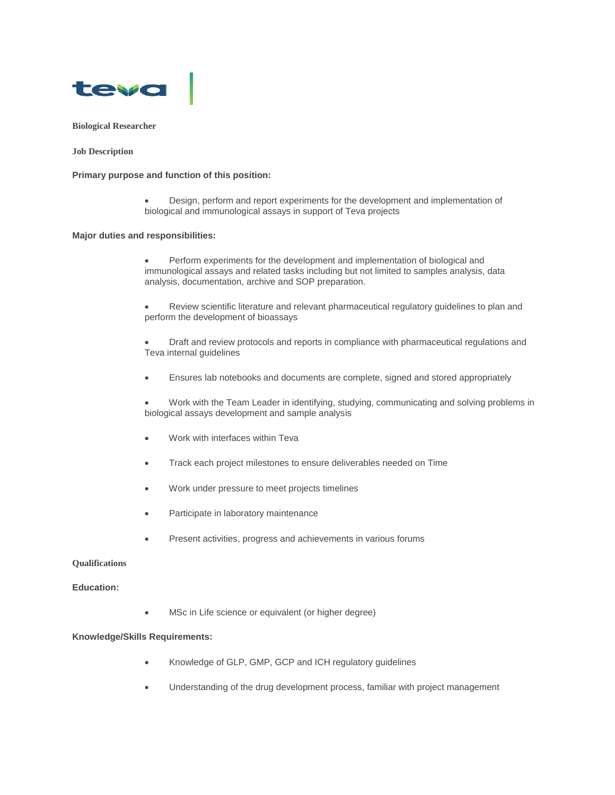

# **Biological Researcher**

**Job Description**

#### **Primary purpose and function of this position:**

 Design, perform and report experiments for the development and implementation of biological and immunological assays in support of Teva projects

### **Major duties and responsibilities:**

- Perform experiments for the development and implementation of biological and immunological assays and related tasks including but not limited to samples analysis, data analysis, documentation, archive and SOP preparation.
- Review scientific literature and relevant pharmaceutical regulatory guidelines to plan and perform the development of bioassays
- Draft and review protocols and reports in compliance with pharmaceutical regulations and Teva internal guidelines
- Ensures lab notebooks and documents are complete, signed and stored appropriately

 Work with the Team Leader in identifying, studying, communicating and solving problems in biological assays development and sample analysis

- Work with interfaces within Teva
- Track each project milestones to ensure deliverables needed on Time
- Work under pressure to meet projects timelines
- Participate in laboratory maintenance
- Present activities, progress and achievements in various forums

## **Qualifications**

# **Education:**

MSc in Life science or equivalent (or higher degree)

# **Knowledge/Skills Requirements:**

- Knowledge of GLP, GMP, GCP and ICH regulatory guidelines
- Understanding of the drug development process, familiar with project management